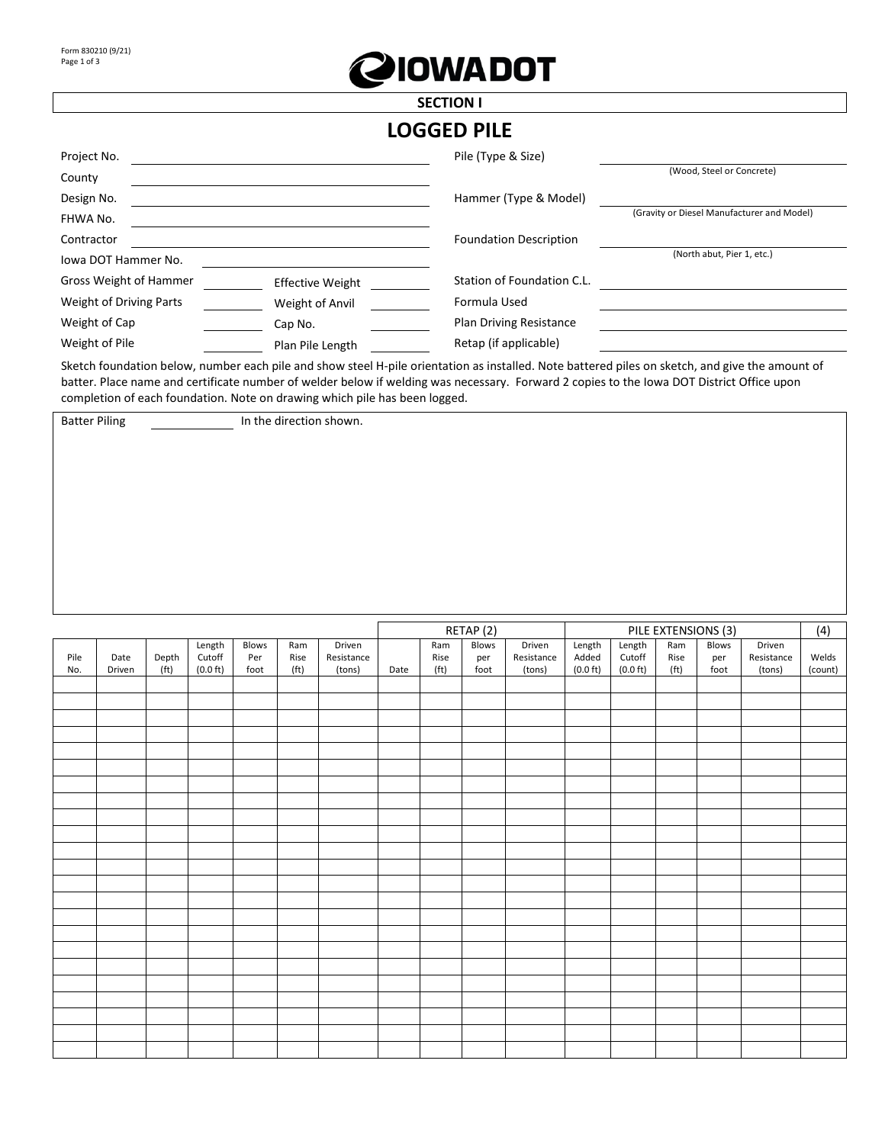

## **SECTION I LOGGED PILE**

| Project No.             |                         | Pile (Type & Size)             |                                            |
|-------------------------|-------------------------|--------------------------------|--------------------------------------------|
| County                  |                         |                                | (Wood, Steel or Concrete)                  |
| Design No.              |                         | Hammer (Type & Model)          |                                            |
| FHWA No.                |                         |                                | (Gravity or Diesel Manufacturer and Model) |
| Contractor              |                         | <b>Foundation Description</b>  |                                            |
| Iowa DOT Hammer No.     |                         |                                | (North abut, Pier 1, etc.)                 |
| Gross Weight of Hammer  | <b>Effective Weight</b> | Station of Foundation C.L.     |                                            |
| Weight of Driving Parts | Weight of Anvil         | Formula Used                   |                                            |
| Weight of Cap           | Cap No.                 | <b>Plan Driving Resistance</b> |                                            |
| Weight of Pile          | Plan Pile Length        | Retap (if applicable)          |                                            |

Sketch foundation below, number each pile and show steel H-pile orientation as installed. Note battered piles on sketch, and give the amount of batter. Place name and certificate number of welder below if welding was necessary. Forward 2 copies to the Iowa DOT District Office upon completion of each foundation. Note on drawing which pile has been logged.

Batter Piling In the direction shown.

|      |        |                   |                    |       |                   |            |      |                   | RETAP (2) |            |                    | (4)                            |                   |                              |            |         |
|------|--------|-------------------|--------------------|-------|-------------------|------------|------|-------------------|-----------|------------|--------------------|--------------------------------|-------------------|------------------------------|------------|---------|
|      |        |                   | Length             | Blows | Ram               | Driven     |      | Ram               | Blows     | Driven     | Length             | Length                         | Ram               | PILE EXTENSIONS (3)<br>Blows | Driven     |         |
| Pile | Date   | Depth             | Cutoff             | Per   | Rise              | Resistance |      | Rise              | per       | Resistance | Added              | $\ensuremath{\mathsf{Cutoff}}$ | Rise              | per                          | Resistance | Welds   |
| No.  | Driven | (f <sub>t</sub> ) | $(0.0 \text{ ft})$ | foot  | (f <sub>t</sub> ) | (tons)     | Date | (f <sub>t</sub> ) | foot      | (tons)     | $(0.0 \text{ ft})$ | $(0.0 \text{ ft})$             | (f <sup>t</sup> ) | foot                         | (tons)     | (count) |
|      |        |                   |                    |       |                   |            |      |                   |           |            |                    |                                |                   |                              |            |         |
|      |        |                   |                    |       |                   |            |      |                   |           |            |                    |                                |                   |                              |            |         |
|      |        |                   |                    |       |                   |            |      |                   |           |            |                    |                                |                   |                              |            |         |
|      |        |                   |                    |       |                   |            |      |                   |           |            |                    |                                |                   |                              |            |         |
|      |        |                   |                    |       |                   |            |      |                   |           |            |                    |                                |                   |                              |            |         |
|      |        |                   |                    |       |                   |            |      |                   |           |            |                    |                                |                   |                              |            |         |
|      |        |                   |                    |       |                   |            |      |                   |           |            |                    |                                |                   |                              |            |         |
|      |        |                   |                    |       |                   |            |      |                   |           |            |                    |                                |                   |                              |            |         |
|      |        |                   |                    |       |                   |            |      |                   |           |            |                    |                                |                   |                              |            |         |
|      |        |                   |                    |       |                   |            |      |                   |           |            |                    |                                |                   |                              |            |         |
|      |        |                   |                    |       |                   |            |      |                   |           |            |                    |                                |                   |                              |            |         |
|      |        |                   |                    |       |                   |            |      |                   |           |            |                    |                                |                   |                              |            |         |
|      |        |                   |                    |       |                   |            |      |                   |           |            |                    |                                |                   |                              |            |         |
|      |        |                   |                    |       |                   |            |      |                   |           |            |                    |                                |                   |                              |            |         |
|      |        |                   |                    |       |                   |            |      |                   |           |            |                    |                                |                   |                              |            |         |
|      |        |                   |                    |       |                   |            |      |                   |           |            |                    |                                |                   |                              |            |         |
|      |        |                   |                    |       |                   |            |      |                   |           |            |                    |                                |                   |                              |            |         |
|      |        |                   |                    |       |                   |            |      |                   |           |            |                    |                                |                   |                              |            |         |
|      |        |                   |                    |       |                   |            |      |                   |           |            |                    |                                |                   |                              |            |         |
|      |        |                   |                    |       |                   |            |      |                   |           |            |                    |                                |                   |                              |            |         |
|      |        |                   |                    |       |                   |            |      |                   |           |            |                    |                                |                   |                              |            |         |
|      |        |                   |                    |       |                   |            |      |                   |           |            |                    |                                |                   |                              |            |         |
|      |        |                   |                    |       |                   |            |      |                   |           |            |                    |                                |                   |                              |            |         |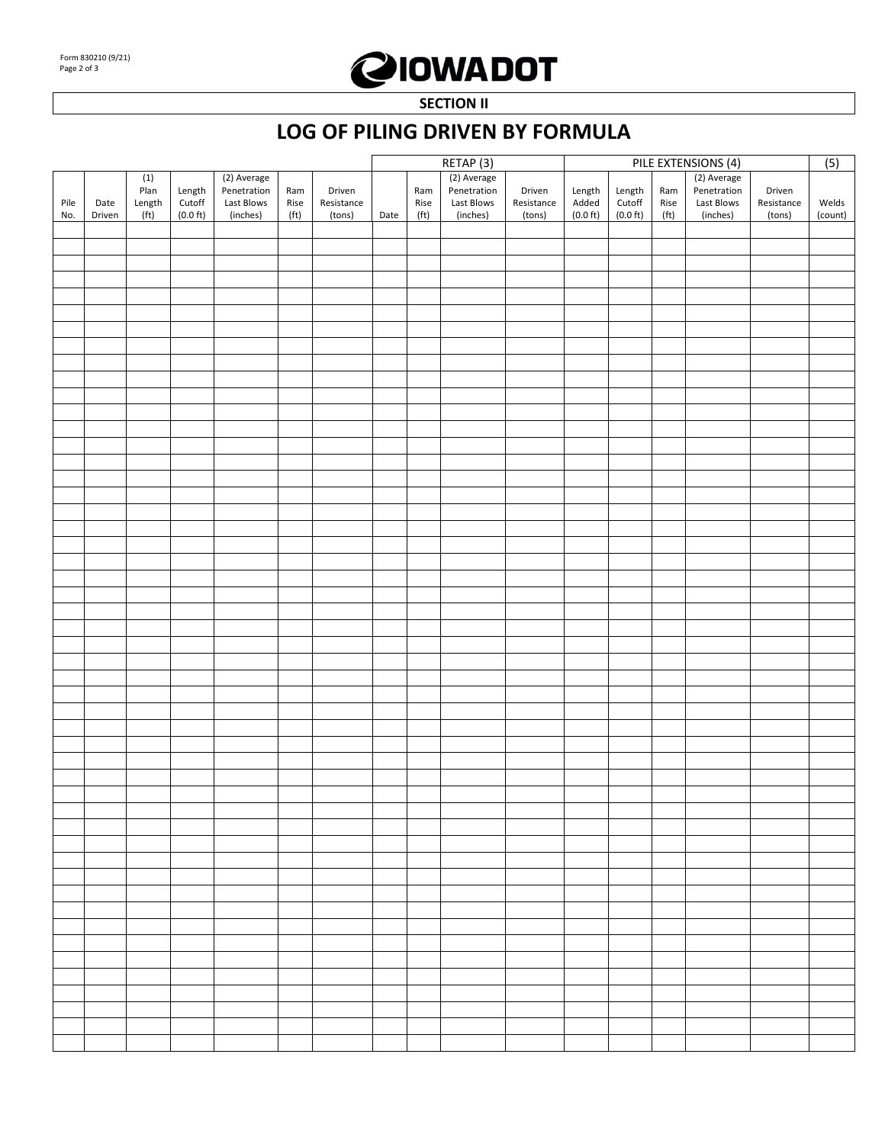## **QIOWADOT**

**SECTION II**

## **LOG OF PILING DRIVEN BY FORMULA**

|      |        |                   |                    |             |                   |            | RETAP <sub>(3)</sub> |                   |             | PILE EXTENSIONS (4) |                    |                    |                   |             |            |         |
|------|--------|-------------------|--------------------|-------------|-------------------|------------|----------------------|-------------------|-------------|---------------------|--------------------|--------------------|-------------------|-------------|------------|---------|
|      |        | (1)               |                    | (2) Average |                   |            |                      | (2) Average       |             |                     |                    |                    |                   | (2) Average |            | (5)     |
|      |        | Plan              | Length<br>Cutoff   | Penetration | Ram               | Driven     |                      | Ram               | Penetration | Driven              | Length             | Length<br>Cutoff   | Ram               | Penetration | Driven     |         |
| Pile | Date   | Length            |                    | Last Blows  | Rise              | Resistance |                      | Rise              | Last Blows  | Resistance          | Added              |                    | Rise              | Last Blows  | Resistance | Welds   |
| No.  | Driven | (f <sub>t</sub> ) | $(0.0 \text{ ft})$ | (inches)    | (f <sup>t</sup> ) | (tons)     | Date                 | (f <sup>t</sup> ) | (inches)    | (tons)              | $(0.0 \text{ ft})$ | $(0.0 \text{ ft})$ | (f <sub>t</sub> ) | (inches)    | (tons)     | (count) |
|      |        |                   |                    |             |                   |            |                      |                   |             |                     |                    |                    |                   |             |            |         |
|      |        |                   |                    |             |                   |            |                      |                   |             |                     |                    |                    |                   |             |            |         |
|      |        |                   |                    |             |                   |            |                      |                   |             |                     |                    |                    |                   |             |            |         |
|      |        |                   |                    |             |                   |            |                      |                   |             |                     |                    |                    |                   |             |            |         |
|      |        |                   |                    |             |                   |            |                      |                   |             |                     |                    |                    |                   |             |            |         |
|      |        |                   |                    |             |                   |            |                      |                   |             |                     |                    |                    |                   |             |            |         |
|      |        |                   |                    |             |                   |            |                      |                   |             |                     |                    |                    |                   |             |            |         |
|      |        |                   |                    |             |                   |            |                      |                   |             |                     |                    |                    |                   |             |            |         |
|      |        |                   |                    |             |                   |            |                      |                   |             |                     |                    |                    |                   |             |            |         |
|      |        |                   |                    |             |                   |            |                      |                   |             |                     |                    |                    |                   |             |            |         |
|      |        |                   |                    |             |                   |            |                      |                   |             |                     |                    |                    |                   |             |            |         |
|      |        |                   |                    |             |                   |            |                      |                   |             |                     |                    |                    |                   |             |            |         |
|      |        |                   |                    |             |                   |            |                      |                   |             |                     |                    |                    |                   |             |            |         |
|      |        |                   |                    |             |                   |            |                      |                   |             |                     |                    |                    |                   |             |            |         |
|      |        |                   |                    |             |                   |            |                      |                   |             |                     |                    |                    |                   |             |            |         |
|      |        |                   |                    |             |                   |            |                      |                   |             |                     |                    |                    |                   |             |            |         |
|      |        |                   |                    |             |                   |            |                      |                   |             |                     |                    |                    |                   |             |            |         |
|      |        |                   |                    |             |                   |            |                      |                   |             |                     |                    |                    |                   |             |            |         |
|      |        |                   |                    |             |                   |            |                      |                   |             |                     |                    |                    |                   |             |            |         |
|      |        |                   |                    |             |                   |            |                      |                   |             |                     |                    |                    |                   |             |            |         |
|      |        |                   |                    |             |                   |            |                      |                   |             |                     |                    |                    |                   |             |            |         |
|      |        |                   |                    |             |                   |            |                      |                   |             |                     |                    |                    |                   |             |            |         |
|      |        |                   |                    |             |                   |            |                      |                   |             |                     |                    |                    |                   |             |            |         |
|      |        |                   |                    |             |                   |            |                      |                   |             |                     |                    |                    |                   |             |            |         |
|      |        |                   |                    |             |                   |            |                      |                   |             |                     |                    |                    |                   |             |            |         |
|      |        |                   |                    |             |                   |            |                      |                   |             |                     |                    |                    |                   |             |            |         |
|      |        |                   |                    |             |                   |            |                      |                   |             |                     |                    |                    |                   |             |            |         |
|      |        |                   |                    |             |                   |            |                      |                   |             |                     |                    |                    |                   |             |            |         |
|      |        |                   |                    |             |                   |            |                      |                   |             |                     |                    |                    |                   |             |            |         |
|      |        |                   |                    |             |                   |            |                      |                   |             |                     |                    |                    |                   |             |            |         |
|      |        |                   |                    |             |                   |            |                      |                   |             |                     |                    |                    |                   |             |            |         |
|      |        |                   |                    |             |                   |            |                      |                   |             |                     |                    |                    |                   |             |            |         |
|      |        |                   |                    |             |                   |            |                      |                   |             |                     |                    |                    |                   |             |            |         |
|      |        |                   |                    |             |                   |            |                      |                   |             |                     |                    |                    |                   |             |            |         |
|      |        |                   |                    |             |                   |            |                      |                   |             |                     |                    |                    |                   |             |            |         |
|      |        |                   |                    |             |                   |            |                      |                   |             |                     |                    |                    |                   |             |            |         |
|      |        |                   |                    |             |                   |            |                      |                   |             |                     |                    |                    |                   |             |            |         |
|      |        |                   |                    |             |                   |            |                      |                   |             |                     |                    |                    |                   |             |            |         |
|      |        |                   |                    |             |                   |            |                      |                   |             |                     |                    |                    |                   |             |            |         |
|      |        |                   |                    |             |                   |            |                      |                   |             |                     |                    |                    |                   |             |            |         |
|      |        |                   |                    |             |                   |            |                      |                   |             |                     |                    |                    |                   |             |            |         |
|      |        |                   |                    |             |                   |            |                      |                   |             |                     |                    |                    |                   |             |            |         |
|      |        |                   |                    |             |                   |            |                      |                   |             |                     |                    |                    |                   |             |            |         |
|      |        |                   |                    |             |                   |            |                      |                   |             |                     |                    |                    |                   |             |            |         |
|      |        |                   |                    |             |                   |            |                      |                   |             |                     |                    |                    |                   |             |            |         |
|      |        |                   |                    |             |                   |            |                      |                   |             |                     |                    |                    |                   |             |            |         |
|      |        |                   |                    |             |                   |            |                      |                   |             |                     |                    |                    |                   |             |            |         |
|      |        |                   |                    |             |                   |            |                      |                   |             |                     |                    |                    |                   |             |            |         |
|      |        |                   |                    |             |                   |            |                      |                   |             |                     |                    |                    |                   |             |            |         |
|      |        |                   |                    |             |                   |            |                      |                   |             |                     |                    |                    |                   |             |            |         |
|      |        |                   |                    |             |                   |            |                      |                   |             |                     |                    |                    |                   |             |            |         |
|      |        |                   |                    |             |                   |            |                      |                   |             |                     |                    |                    |                   |             |            |         |
|      |        |                   |                    |             |                   |            |                      |                   |             |                     |                    |                    |                   |             |            |         |